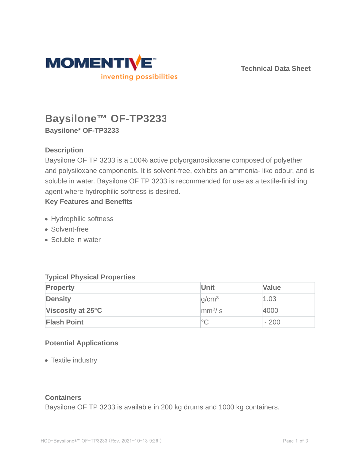

**Technical Data Sheet**

# **Baysilone™ OF-TP3233 Baysilone\* OF-TP3233**

# **Description**

Baysilone OF TP 3233 is a 100% active polyorganosiloxane composed of polyether and polysiloxane components. It is solvent-free, exhibits an ammonia- like odour, and is soluble in water. Baysilone OF TP 3233 is recommended for use as a textile-finishing agent where hydrophilic softness is desired.

# **Key Features and Benefits**

- Hydrophilic softness
- Solvent-free
- Soluble in water

# **Typical Physical Properties**

| <b>Property</b>    | <b>Unit</b>            | <b>Value</b> |
|--------------------|------------------------|--------------|
| <b>Density</b>     | q/cm <sup>3</sup>      | 1.03         |
| Viscosity at 25°C  | $\text{mm}^2/\text{s}$ | 4000         |
| <b>Flash Point</b> | $^{\circ}C$            | $\sim 200$   |

# **Potential Applications**

• Textile industry

## **Containers**

Baysilone OF TP 3233 is available in 200 kg drums and 1000 kg containers.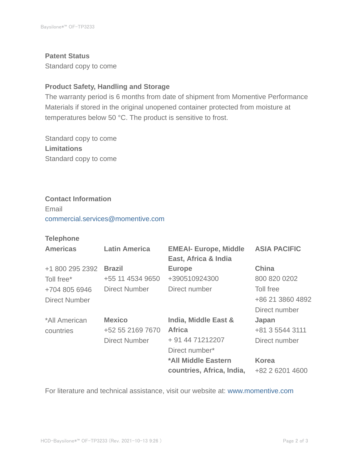#### **Patent Status**

Standard copy to come

### **Product Safety, Handling and Storage**

The warranty period is 6 months from date of shipment from Momentive Performance Materials if stored in the original unopened container protected from moisture at temperatures below 50 °C. The product is sensitive to frost.

Standard copy to come **Limitations** Standard copy to come

#### **Contact Information**

Email commercial.services@momentive.com

## **Telephone**

| <b>Americas</b>      | <b>Latin America</b> | <b>EMEAI- Europe, Middle</b><br>East, Africa & India | <b>ASIA PACIFIC</b> |
|----------------------|----------------------|------------------------------------------------------|---------------------|
| +1 800 295 2392      | <b>Brazil</b>        | <b>Europe</b>                                        | <b>China</b>        |
| Toll free*           | +55 11 4534 9650     | +390510924300                                        | 800 820 0202        |
| +704 805 6946        | Direct Number        | Direct number                                        | Toll free           |
| <b>Direct Number</b> |                      |                                                      | +86 21 3860 4892    |
|                      |                      |                                                      | Direct number       |
| *All American        | <b>Mexico</b>        | India, Middle East &                                 | Japan               |
| countries            | +52 55 2169 7670     | <b>Africa</b>                                        | +81 3 5544 3111     |
|                      | <b>Direct Number</b> | + 91 44 71212207                                     | Direct number       |
|                      |                      | Direct number*                                       |                     |
|                      |                      | *All Middle Eastern                                  | <b>Korea</b>        |
|                      |                      | countries, Africa, India,                            | +82 2 6201 4600     |

For literature and technical assistance, visit our website at: www.momentive.com